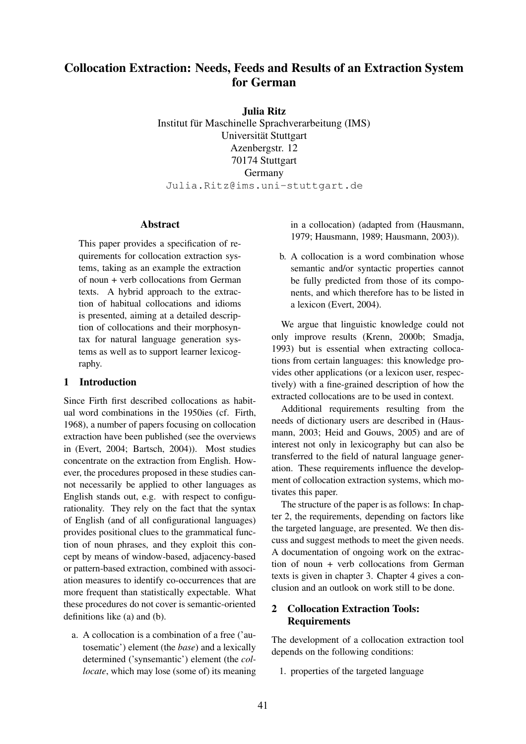## **Collocation Extraction: Needs, Feeds and Results of an Extraction System for German**

**Julia Ritz**

Institut für Maschinelle Sprachverarbeitung (IMS) Universität Stuttgart Azenbergstr. 12 70174 Stuttgart Germany Julia.Ritz@ims.uni-stuttgart.de

#### **Abstract**

This paper provides a specification of requirements for collocation extraction systems, taking as an example the extraction of noun + verb collocations from German texts. A hybrid approach to the extraction of habitual collocations and idioms is presented, aiming at a detailed description of collocations and their morphosyntax for natural language generation systems as well as to support learner lexicography.

## **1 Introduction**

Since Firth first described collocations as habitual word combinations in the 1950ies (cf. Firth, 1968), a number of papers focusing on collocation extraction have been published (see the overviews in (Evert, 2004; Bartsch, 2004)). Most studies concentrate on the extraction from English. However, the procedures proposed in these studies cannot necessarily be applied to other languages as English stands out, e.g. with respect to configurationality. They rely on the fact that the syntax of English (and of all configurational languages) provides positional clues to the grammatical function of noun phrases, and they exploit this concept by means of window-based, adjacency-based or pattern-based extraction, combined with association measures to identify co-occurrences that are more frequent than statistically expectable. What these procedures do not cover is semantic-oriented definitions like (a) and (b).

a. A collocation is a combination of a free ('autosematic') element (the *base*) and a lexically determined ('synsemantic') element (the *collocate*, which may lose (some of) its meaning

in a collocation) (adapted from (Hausmann, 1979; Hausmann, 1989; Hausmann, 2003)).

b. A collocation is a word combination whose semantic and/or syntactic properties cannot be fully predicted from those of its components, and which therefore has to be listed in a lexicon (Evert, 2004).

We argue that linguistic knowledge could not only improve results (Krenn, 2000b; Smadja, 1993) but is essential when extracting collocations from certain languages: this knowledge provides other applications (or a lexicon user, respectively) with a fine-grained description of how the extracted collocations are to be used in context.

Additional requirements resulting from the needs of dictionary users are described in (Hausmann, 2003; Heid and Gouws, 2005) and are of interest not only in lexicography but can also be transferred to the field of natural language generation. These requirements influence the development of collocation extraction systems, which motivates this paper.

The structure of the paper is as follows: In chapter 2, the requirements, depending on factors like the targeted language, are presented. We then discuss and suggest methods to meet the given needs. A documentation of ongoing work on the extraction of noun + verb collocations from German texts is given in chapter 3. Chapter 4 gives a conclusion and an outlook on work still to be done.

## **2 Collocation Extraction Tools: Requirements**

The development of a collocation extraction tool depends on the following conditions:

1. properties of the targeted language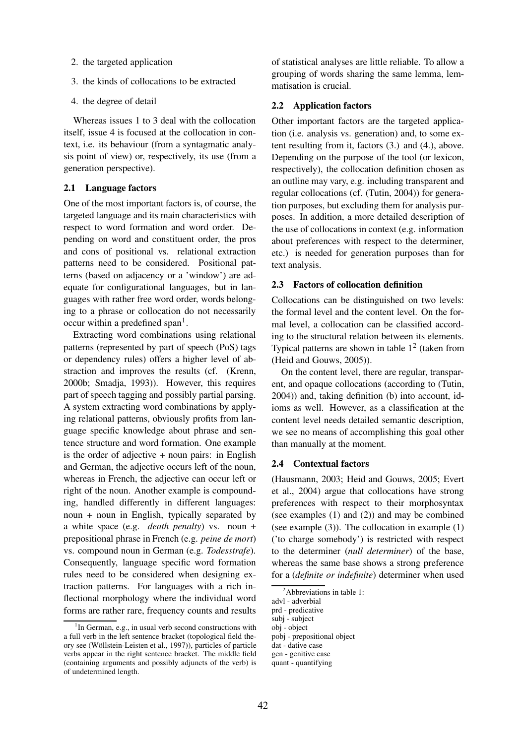- 2. the targeted application
- 3. the kinds of collocations to be extracted
- 4. the degree of detail

Whereas issues 1 to 3 deal with the collocation itself, issue 4 is focused at the collocation in context, i.e. its behaviour (from a syntagmatic analysis point of view) or, respectively, its use (from a generation perspective).

## **2.1 Language factors**

One of the most important factors is, of course, the targeted language and its main characteristics with respect to word formation and word order. Depending on word and constituent order, the pros and cons of positional vs. relational extraction patterns need to be considered. Positional patterns (based on adjacency or a 'window') are adequate for configurational languages, but in languages with rather free word order, words belonging to a phrase or collocation do not necessarily occur within a predefined span<sup>1</sup>.

Extracting word combinations using relational patterns (represented by part of speech (PoS) tags or dependency rules) offers a higher level of abstraction and improves the results (cf. (Krenn, 2000b; Smadja, 1993)). However, this requires part of speech tagging and possibly partial parsing. A system extracting word combinations by applying relational patterns, obviously profits from language specific knowledge about phrase and sentence structure and word formation. One example is the order of adjective  $+$  noun pairs: in English and German, the adjective occurs left of the noun, whereas in French, the adjective can occur left or right of the noun. Another example is compounding, handled differently in different languages: noun + noun in English, typically separated by a white space (e.g. *death penalty*) vs. noun + prepositional phrase in French (e.g. *peine de mort*) vs. compound noun in German (e.g. *Todesstrafe*). Consequently, language specific word formation rules need to be considered when designing extraction patterns. For languages with a rich inflectional morphology where the individual word forms are rather rare, frequency counts and results

of statistical analyses are little reliable. To allow a grouping of words sharing the same lemma, lemmatisation is crucial.

#### **2.2 Application factors**

Other important factors are the targeted application (i.e. analysis vs. generation) and, to some extent resulting from it, factors (3.) and (4.), above. Depending on the purpose of the tool (or lexicon, respectively), the collocation definition chosen as an outline may vary, e.g. including transparent and regular collocations (cf. (Tutin, 2004)) for generation purposes, but excluding them for analysis purposes. In addition, a more detailed description of the use of collocations in context (e.g. information about preferences with respect to the determiner, etc.) is needed for generation purposes than for text analysis.

## **2.3 Factors of collocation definition**

Collocations can be distinguished on two levels: the formal level and the content level. On the formal level, a collocation can be classified according to the structural relation between its elements. Typical patterns are shown in table  $1<sup>2</sup>$  (taken from (Heid and Gouws, 2005)).

On the content level, there are regular, transparent, and opaque collocations (according to (Tutin, 2004)) and, taking definition (b) into account, idioms as well. However, as a classification at the content level needs detailed semantic description, we see no means of accomplishing this goal other than manually at the moment.

## **2.4 Contextual factors**

(Hausmann, 2003; Heid and Gouws, 2005; Evert et al., 2004) argue that collocations have strong preferences with respect to their morphosyntax (see examples (1) and (2)) and may be combined (see example (3)). The collocation in example (1) ('to charge somebody') is restricted with respect to the determiner (*null determiner*) of the base, whereas the same base shows a strong preference for a (*definite or indefinite*) determiner when used

<sup>&</sup>lt;sup>1</sup>In German, e.g., in usual verb second constructions with a full verb in the left sentence bracket (topological field theory see (Wöllstein-Leisten et al., 1997)), particles of particle verbs appear in the right sentence bracket. The middle field (containing arguments and possibly adjuncts of the verb) is of undetermined length.

 $2$ Abbreviations in table 1:

advl - adverbial

prd - predicative

subj - subject

obj - object

pobj - prepositional object

dat - dative case

gen - genitive case

quant - quantifying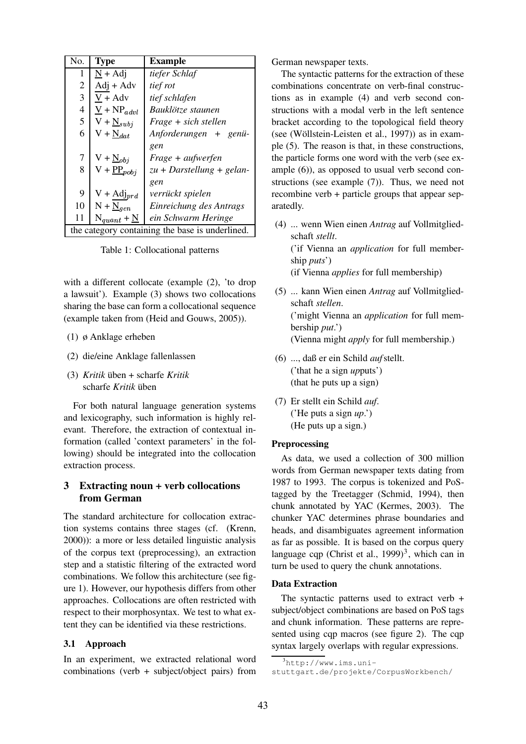| No.                                             | <b>Type</b>                 | <b>Example</b>              |  |
|-------------------------------------------------|-----------------------------|-----------------------------|--|
| 1                                               | $N + Adi$                   | tiefer Schlaf               |  |
| $\overline{2}$                                  | $Adi + Adv$                 | tief rot                    |  |
| 3                                               | $V + Adv$                   | tief schlafen               |  |
| 4                                               | $V + NP_{advl}$             | Bauklötze staunen           |  |
| 5                                               | $V + N_{subj}$              | Frage + sich stellen        |  |
| 6                                               | $V + N_{dat}$               | Anforderungen + genü-       |  |
|                                                 |                             | gen                         |  |
| 7                                               | $V + N_{obj}$               | Frage + aufwerfen           |  |
| 8                                               | $V + \underline{PP}_{pobj}$ | $zu + Darstellung + gelan-$ |  |
|                                                 |                             | gen                         |  |
| 9                                               | $V + Adj_{prd}$             | verrückt spielen            |  |
| 10                                              | $N + N_{gen}$               | Einreichung des Antrags     |  |
| 11                                              | $N_{quant} + N$             | ein Schwarm Heringe         |  |
| the category containing the base is underlined. |                             |                             |  |

Table 1: Collocational patterns

with a different collocate (example (2), 'to drop a lawsuit'). Example (3) shows two collocations sharing the base can form a collocational sequence (example taken from (Heid and Gouws, 2005)).

- (1) ø Anklage erheben
- (2) die/eine Anklage fallenlassen
- (3) *Kritik* üben + scharfe *Kritik* scharfe *Kritik* üben

For both natural language generation systems and lexicography, such information is highly relevant. Therefore, the extraction of contextual information (called 'context parameters' in the following) should be integrated into the collocation extraction process.

## **3 Extracting noun + verb collocations from German**

The standard architecture for collocation extraction systems contains three stages (cf. (Krenn, 2000)): a more or less detailed linguistic analysis of the corpus text (preprocessing), an extraction step and a statistic filtering of the extracted word combinations. We follow this architecture (see figure 1). However, our hypothesis differs from other approaches. Collocations are often restricted with respect to their morphosyntax. We test to what extent they can be identified via these restrictions.

## **3.1 Approach**

In an experiment, we extracted relational word combinations (verb + subject/object pairs) from German newspaper texts.

The syntactic patterns for the extraction of these combinations concentrate on verb-final constructions as in example (4) and verb second constructions with a modal verb in the left sentence bracket according to the topological field theory (see (Wöllstein-Leisten et al., 1997)) as in example (5). The reason is that, in these constructions, the particle forms one word with the verb (see example (6)), as opposed to usual verb second constructions (see example (7)). Thus, we need not recombine verb + particle groups that appear separatedly.

- (4) ... wenn Wien einen *Antrag* auf Vollmitgliedschaft *stellt*. ('if Vienna an *application* for full membership *puts*') (if Vienna *applies* for full membership)
- (5) ... kann Wien einen *Antrag* auf Vollmitgliedschaft *stellen*. ('might Vienna an *application* for full membership *put*.') (Vienna might *apply* for full membership.)
- (6) ..., daß er ein Schild *auf*stellt. ('that he a sign *up*puts') (that he puts up a sign)
- (7) Er stellt ein Schild *auf*. ('He puts a sign *up*.') (He puts up a sign.)

## **Preprocessing**

As data, we used a collection of 300 million words from German newspaper texts dating from 1987 to 1993. The corpus is tokenized and PoStagged by the Treetagger (Schmid, 1994), then chunk annotated by YAC (Kermes, 2003). The chunker YAC determines phrase boundaries and heads, and disambiguates agreement information as far as possible. It is based on the corpus query language cqp (Christ et al.,  $1999)^3$ , which can in turn be used to query the chunk annotations.

## **Data Extraction**

The syntactic patterns used to extract verb + subject/object combinations are based on PoS tags and chunk information. These patterns are represented using cqp macros (see figure 2). The cqp syntax largely overlaps with regular expressions.

 $3$ http://www.ims.uni-

stuttgart.de/projekte/CorpusWorkbench/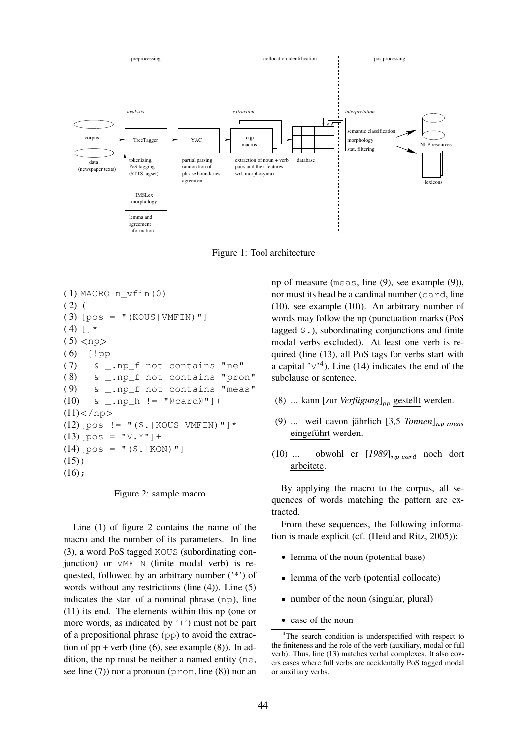

Figure 1: Tool architecture

```
( 1) MACRO n_vfin(0)
(2) (
(3) [pos = "(KOUS|VMFIN)"]
(4) [ ] *(5) <np>
(6) [!pp
( 7) & _.np_f not contains "ne"
( 8) & _.np_f not contains "pron"
( 9) & _.np_f not contains "meas"
(10) & _.np_h != "@card@"]+
(11) </np>
(12)[pos != "($.|KOUS|VMFIN)"]*
(13)[pos = "V. *"]+
(14)[pos = "($.|KON)"]
(15)(16);
```
Figure 2: sample macro

Line (1) of figure 2 contains the name of the macro and the number of its parameters. In line (3), a word PoS tagged KOUS (subordinating conjunction) or VMFIN (finite modal verb) is requested, followed by an arbitrary number ('\*') of words without any restrictions (line (4)). Line (5) indicates the start of a nominal phrase (np), line (11) its end. The elements within this np (one or more words, as indicated by '+') must not be part of a prepositional phrase (pp) to avoid the extraction of  $pp + verb$  (line (6), see example (8)). In addition, the np must be neither a named entity (ne, see line  $(7)$ ) nor a pronoun (pron, line  $(8)$ ) nor an

np of measure (meas, line (9), see example (9)), nor must its head be a cardinal number (card, line (10), see example (10)). An arbitrary number of words may follow the np (punctuation marks (PoS tagged  $\varsigma$ .), subordinating conjunctions and finite modal verbs excluded). At least one verb is required (line (13), all PoS tags for verbs start with a capital  $\gamma v^4$ ). Line (14) indicates the end of the subclause or sentence.

- (8) ... kann [zur *Verfügung*]<sub>pp</sub> gestellt werden.
- (9) ... weil davon jährlich  $[3,5]$  *Tonnen*]  $_{np}$   $_{meas}$ eingeführt werden.
- (10) ... obwohl er  $[1989]_{nn \, card}$  noch dort arbeitete.

By applying the macro to the corpus, all sequences of words matching the pattern are extracted.

From these sequences, the following information is made explicit (cf. (Heid and Ritz, 2005)):

- lemma of the noun (potential base)
- lemma of the verb (potential collocate)
- number of the noun (singular, plural)
- ) case of the noun

<sup>&</sup>lt;sup>4</sup>The search condition is underspecified with respect to the finiteness and the role of the verb (auxiliary, modal or full verb). Thus, line (13) matches verbal complexes. It also covers cases where full verbs are accidentally PoS tagged modal or auxiliary verbs.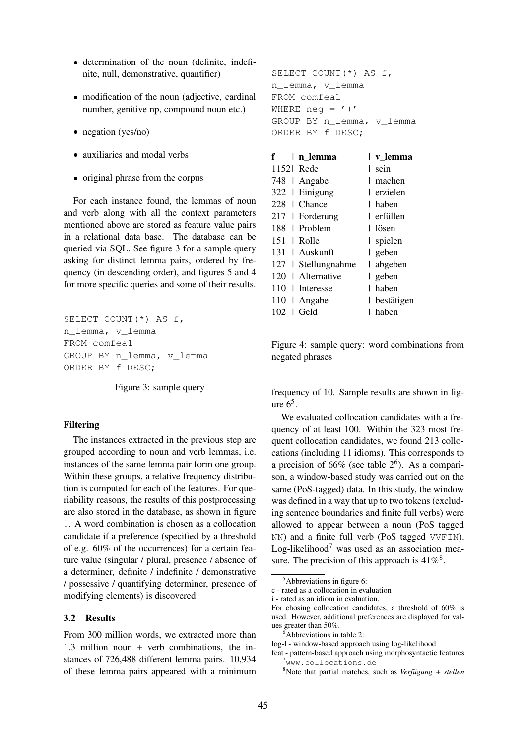- determination of the noun (definite, indefinite, null, demonstrative, quantifier)
- modification of the noun (adjective, cardinal number, genitive np, compound noun etc.)
- negation (yes/no)
- auxiliaries and modal verbs
- original phrase from the corpus

For each instance found, the lemmas of noun and verb along with all the context parameters mentioned above are stored as feature value pairs in a relational data base. The database can be queried via SQL. See figure 3 for a sample query asking for distinct lemma pairs, ordered by frequency (in descending order), and figures 5 and 4 for more specific queries and some of their results.

```
SELECT COUNT(*) AS f,
n_lemma, v_lemma
FROM comfea1
GROUP BY n_lemma, v_lemma
ORDER BY f DESC;
```
Figure 3: sample query

## **Filtering**

The instances extracted in the previous step are grouped according to noun and verb lemmas, i.e. instances of the same lemma pair form one group. Within these groups, a relative frequency distribution is computed for each of the features. For queriability reasons, the results of this postprocessing are also stored in the database, as shown in figure 1. A word combination is chosen as a collocation candidate if a preference (specified by a threshold of e.g. 60% of the occurrences) for a certain feature value (singular / plural, presence / absence of a determiner, definite / indefinite / demonstrative / possessive / quantifying determiner, presence of modifying elements) is discovered.

## **3.2 Results**

From 300 million words, we extracted more than 1.3 million noun + verb combinations, the instances of 726,488 different lemma pairs. 10,934 of these lemma pairs appeared with a minimum

```
SELECT COUNT(*) AS f,
n_lemma, v_lemma
FROM comfea1
WHERE neg = '+'
GROUP BY n_lemma, v_lemma
ORDER BY f DESC;
```

| f          | ∣n lemma            |   | v lemma      |
|------------|---------------------|---|--------------|
| 11521 Rede |                     |   | sein         |
|            | 748   Angabe        |   | machen       |
|            | 322   Einigung      |   | l erzielen   |
|            | 228   Chance        |   | l haben      |
|            | 217   Forderung     |   | l erfüllen   |
|            | 188   Problem       |   | l lösen      |
|            | $151 \perp$ Rolle   |   | spielen      |
|            | 131   Auskunft      |   | geben        |
|            | 127   Stellungnahme | I | abgeben      |
|            | 120   Alternative   |   | geben        |
|            | 110   Interesse     |   | l haben      |
|            | 110   Angabe        |   | l bestätigen |
| 102        | ∣ Geld              |   | haben        |

Figure 4: sample query: word combinations from negated phrases

frequency of 10. Sample results are shown in figure  $6<sup>5</sup>$ .

We evaluated collocation candidates with a frequency of at least 100. Within the 323 most frequent collocation candidates, we found 213 collocations (including 11 idioms). This corresponds to a precision of  $66\%$  (see table  $2^6$ ). As a comparison, a window-based study was carried out on the same (PoS-tagged) data. In this study, the window was defined in a way that up to two tokens (excluding sentence boundaries and finite full verbs) were allowed to appear between a noun (PoS tagged NN) and a finite full verb (PoS tagged VVFIN). Log-likelihood<sup>7</sup> was used as an association measure. The precision of this approach is  $41\%$ <sup>8</sup>.

Abbreviations in figure 6:

c - rated as a collocation in evaluation

i - rated as an idiom in evaluation.

For chosing collocation candidates, a threshold of 60% is used. However, additional preferences are displayed for values greater than 50%.

<sup>6</sup>Abbreviations in table 2:

log-l - window-based approach using log-likelihood

feat - pattern-based approach using morphosyntactic features <sup>7</sup>www.collocations.de

<sup>8</sup>Note that partial matches, such as *Verfügung + stellen*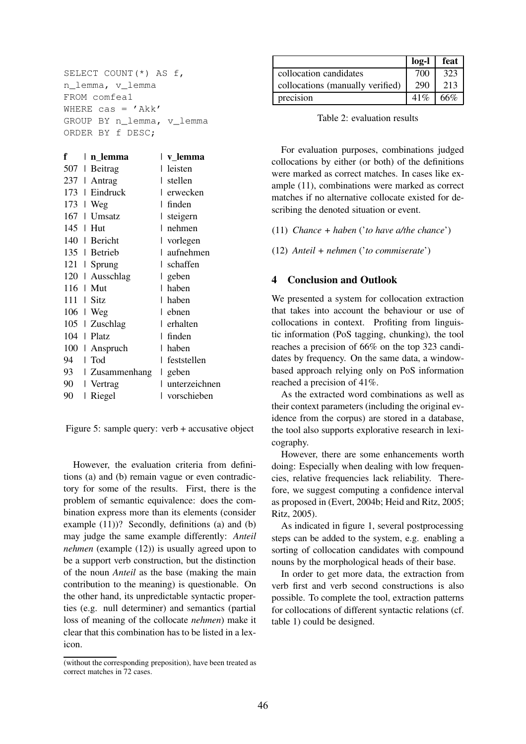SELECT COUNT(\*) AS f, n\_lemma, v\_lemma FROM comfea1 WHERE cas =  $'$ Akk' GROUP BY n\_lemma, v\_lemma ORDER BY f DESC;

| f   | n lemma<br>I   | I<br>v_lemma       |
|-----|----------------|--------------------|
| 507 | Beitrag<br>I   | leisten            |
| 237 | Antrag<br>I    | stellen<br>I       |
| 173 | Eindruck<br>I  | erwecken<br>I      |
| 173 | Weg<br>L       | finden<br>I        |
| 167 | Umsatz<br>I    | steigern<br>I      |
| 145 | Hut<br>L       | nehmen<br>I        |
| 140 | Bericht        | vorlegen<br>I      |
|     | 135   Betrieb  | aufnehmen<br>I     |
| 121 | Sprung<br>L    | schaffen<br>I      |
| 120 | Ausschlag<br>I | geben              |
| 116 | Mut<br>I       | haben<br>I         |
| 111 | Sitz<br>I      | haben<br>I         |
| 106 | Weg<br>I       | I<br>ebnen         |
| 105 | Zuschlag       | erhalten<br>I      |
| 104 | Platz<br>I     | finden<br>I        |
| 100 | Anspruch<br>I  | haben<br>I         |
| 94  | Tod<br>I       | feststellen<br>I   |
| 93  | Zusammenhang   | geben<br>I         |
| 90  | Vertrag        | unterzeichnen<br>I |
| 90  | Riegel         | vorschieben        |
|     |                |                    |

Figure 5: sample query: verb + accusative object

However, the evaluation criteria from definitions (a) and (b) remain vague or even contradictory for some of the results. First, there is the problem of semantic equivalence: does the combination express more than its elements (consider example (11))? Secondly, definitions (a) and (b) may judge the same example differently: *Anteil nehmen* (example (12)) is usually agreed upon to be a support verb construction, but the distinction of the noun *Anteil* as the base (making the main contribution to the meaning) is questionable. On the other hand, its unpredictable syntactic properties (e.g. null determiner) and semantics (partial loss of meaning of the collocate *nehmen*) make it clear that this combination has to be listed in a lexicon.

|                                  | $log-1$ | feat |
|----------------------------------|---------|------|
| collocation candidates           | 700     | 323  |
| collocations (manually verified) | 290     | 213  |
| precision                        | 41%     | 66%  |

Table 2: evaluation results

For evaluation purposes, combinations judged collocations by either (or both) of the definitions were marked as correct matches. In cases like example (11), combinations were marked as correct matches if no alternative collocate existed for describing the denoted situation or event.

(11) *Chance + haben* ('*to have a/the chance*')

(12) *Anteil + nehmen* ('*to commiserate*')

## **4 Conclusion and Outlook**

We presented a system for collocation extraction that takes into account the behaviour or use of collocations in context. Profiting from linguistic information (PoS tagging, chunking), the tool reaches a precision of 66% on the top 323 candidates by frequency. On the same data, a windowbased approach relying only on PoS information reached a precision of 41%.

As the extracted word combinations as well as their context parameters (including the original evidence from the corpus) are stored in a database, the tool also supports explorative research in lexicography.

However, there are some enhancements worth doing: Especially when dealing with low frequencies, relative frequencies lack reliability. Therefore, we suggest computing a confidence interval as proposed in (Evert, 2004b; Heid and Ritz, 2005; Ritz, 2005).

As indicated in figure 1, several postprocessing steps can be added to the system, e.g. enabling a sorting of collocation candidates with compound nouns by the morphological heads of their base.

In order to get more data, the extraction from verb first and verb second constructions is also possible. To complete the tool, extraction patterns for collocations of different syntactic relations (cf. table 1) could be designed.

<sup>(</sup>without the corresponding preposition), have been treated as correct matches in 72 cases.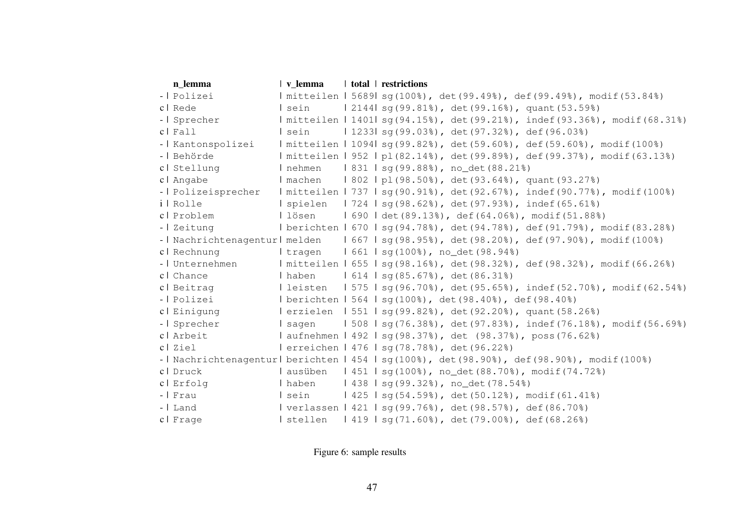| n lemma             | $ $ v lemma | total   restrictions                                                                      |
|---------------------|-------------|-------------------------------------------------------------------------------------------|
| -   Polizei         |             | Imitteilen   5689  sq(100%), det(99.49%), def(99.49%), modif(53.84%)                      |
| c   Rede            | l sein      | $2144$   sq(99.81%), det(99.16%), quant(53.59%)                                           |
| -   Sprecher        |             | Imitteilen   1401   sq(94.15%), det(99.21%), indef(93.36%), modif(68.31%)                 |
| $c$   $Fall$        | I sein      | $1233$ sq(99.03%), det(97.32%), def(96.03%)                                               |
| -   Kantonspolizei  |             | Imitteilen   1094  sq(99.82%), det(59.60%), def(59.60%), modif(100%)                      |
| -   Behörde         |             | mitteilen   952   pl(82.14%), det(99.89%), def(99.37%), modif(63.13%)                     |
| cl Stellung         | I nehmen    | 831   sq(99.88%), no_det(88.21%)                                                          |
| c   Angabe          |             | I machen   802   pl (98.50%), det (93.64%), quant (93.27%)                                |
| -   Polizeisprecher |             | Imitteilen   737   sq(90.91%), det(92.67%), indef(90.77%), modif(100%)                    |
| i   Rolle           |             | spielen   724   sq(98.62%), det(97.93%), indef(65.61%)                                    |
| cl Problem          |             | lösen   690   det (89.13%), def (64.06%), modif (51.88%)                                  |
| -   Zeitung         |             | l berichten 1670 1sq(94.78%), det(94.78%), def(91.79%), modif(83.28%)                     |
|                     |             | -   Nachrichtenagentur   melden   667   sq(98.95%), det(98.20%), def(97.90%), modif(100%) |
| c   Rechnung        |             | l tragen   661   sg(100%), no_det(98.94%)                                                 |
| -   Unternehmen     |             | I mitteilen   655   sq(98.16%), det(98.32%), def(98.32%), modif(66.26%)                   |
| c   Chance          |             | I haben   614   sq(85.67%), det(86.31%)                                                   |
| cl Beitrag          |             | l leisten   575   sq(96.70%), det(95.65%), indef(52.70%), modif(62.54%)                   |
| -   Polizei         |             | l berichten 1564 1 sg(100%), det(98.40%), def(98.40%)                                     |
| cl Einigung         |             | lerzielen   551   sq(99.82%), det(92.20%), quant(58.26%)                                  |
| -   Sprecher        | l saqen     | $1508$   sq(76.38%), det(97.83%), indef(76.18%), modif(56.69%)                            |
| cl Arbeit           |             | l aufnehmen   492   sg(98.37%), det (98.37%), poss(76.62%)                                |
| cl Ziel             |             | lerreichen 1476   sq(78.78%), det(96.22%)                                                 |
|                     |             | -   Nachrichtenagentur  berichten   454   sq(100%), det(98.90%), def(98.90%), modif(100%) |
| c   Druck           | l ausüben   | $1451$   sq(100%), no_det(88.70%), modif(74.72%)                                          |
| cl Erfolg           | l haben     | 438   sq(99.32%), no_det(78.54%)                                                          |
| -   Frau            | l sein      | $1425$   sq(54.59%), det(50.12%), modif(61.41%)                                           |
| -   Land            |             | verlassen   421   sg(99.76%), det(98.57%), def(86.70%)                                    |
| cl Frage            |             | $1 \text{ stellar } 1419 \text{ Jsg}(71.60\%)$ , det(79.00%), def(68.26%)                 |

# Figure 6: sample results